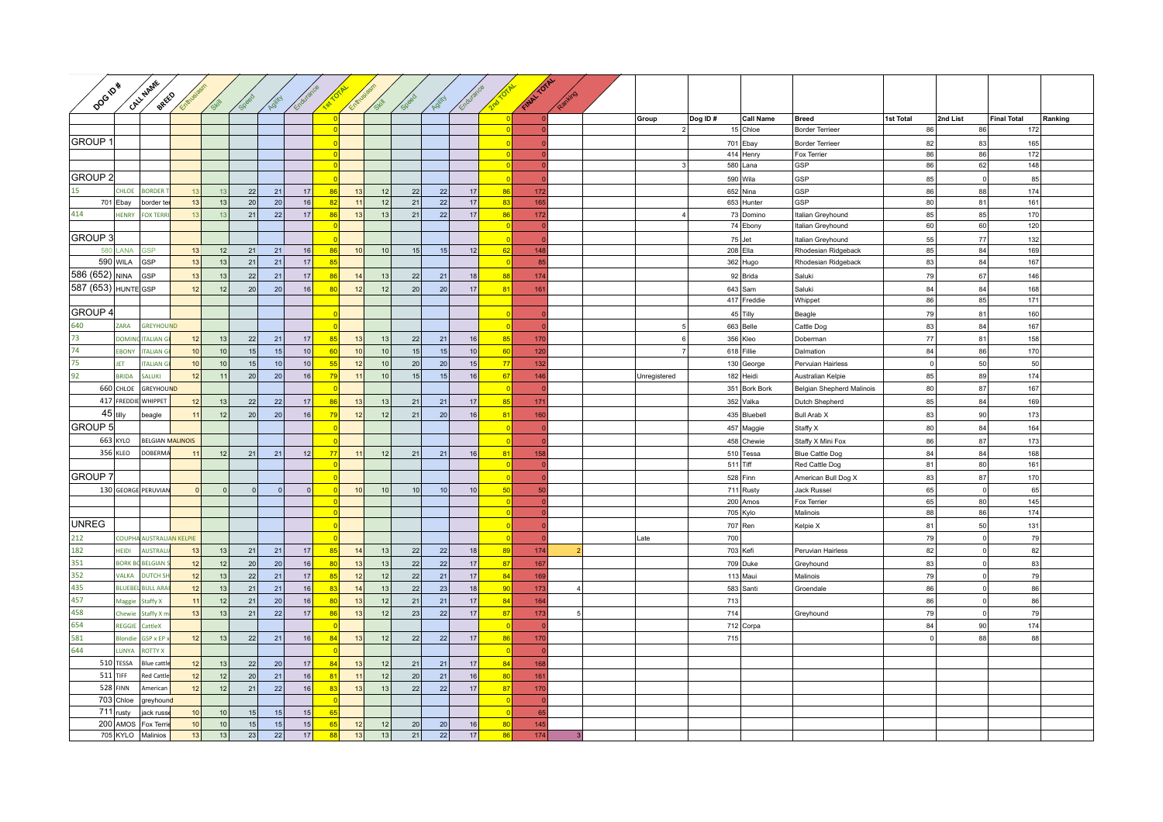| Dog <sub>ra*</sub>  |                         | CALLHAME<br>BREED                   | Entre                 | SHAN            | <b>SPee</b>  | Agility  | Enduran         |                            | Entry           | Skill    | Spee     | Agility         | Enduran               |                        | Film + OTAL |                |                |         |                          |                           |             |                    |                    |         |
|---------------------|-------------------------|-------------------------------------|-----------------------|-----------------|--------------|----------|-----------------|----------------------------|-----------------|----------|----------|-----------------|-----------------------|------------------------|-------------|----------------|----------------|---------|--------------------------|---------------------------|-------------|--------------------|--------------------|---------|
|                     |                         |                                     |                       |                 |              |          |                 |                            |                 |          |          |                 |                       |                        |             |                | Group          | Dog ID# | <b>Call Name</b>         | <b>Breed</b><br>1st Total |             | 2nd List           | <b>Final Total</b> | Ranking |
|                     |                         |                                     |                       |                 |              |          |                 |                            |                 |          |          |                 |                       |                        |             |                | $\overline{2}$ |         | 15 Chloe                 | <b>Border Terrieer</b>    | 86          | 86                 | 172                |         |
| <b>GROUP1</b>       |                         |                                     |                       |                 |              |          |                 |                            |                 |          |          |                 |                       |                        |             |                |                |         | 701 Ebay                 | <b>Border Terrieer</b>    | 82          | 83                 | 165                |         |
|                     |                         |                                     |                       |                 |              |          |                 | $\Omega$                   |                 |          |          |                 |                       | $\Omega$<br>$\sqrt{ }$ |             |                | $\mathbf{3}$   |         | 414 Henry<br>580 Lana    | Fox Terrier<br>GSP        | 86<br>86    | 86<br>62           | 172<br>148         |         |
| <b>GROUP 2</b>      |                         |                                     |                       |                 |              |          |                 |                            |                 |          |          |                 |                       |                        |             |                |                |         |                          |                           |             | $\Omega$           |                    |         |
| 15                  | <b>CHLOE</b>            | <b>BORDER</b>                       | 13                    | 13              |              |          | 17              | 86                         | 13              |          |          |                 |                       |                        |             |                |                |         | 590 Wila                 | GSP<br>GSP                | 85          |                    | 85<br>174          |         |
|                     | 701 Ebay                | border te                           | 13                    | 13              | 22<br>20     | 21<br>20 | 16              | 82                         | 11              | 12<br>12 | 22<br>21 | 22<br>22        | $17$<br>17            | 86<br>83               | 172<br>165  |                |                |         | $652$ Nina<br>653 Hunter | GSP                       | 86<br>80    | 88<br>81           | 161                |         |
| 414                 | <b>HENRY</b>            | <b>FOX TERF</b>                     | 13                    | 13              | 21           | 22       | 17              | 86                         | 13              | 13       | 21       | 22              | 17                    | 86                     | 172         |                |                |         | 73 Domino                | Italian Greyhound         | 85          | 85                 | 170                |         |
|                     |                         |                                     |                       |                 |              |          |                 | $\Omega$                   |                 |          |          |                 |                       | $\Omega$               |             |                |                |         | 74 Ebony                 | Italian Greyhound         | 60          | 60                 | 120                |         |
| <b>GROUP 3</b>      |                         |                                     |                       |                 |              |          |                 |                            |                 |          |          |                 |                       |                        |             |                |                |         | $75$ Jet                 | Italian Greyhound         | 55          | 77                 | 132                |         |
|                     | LANA                    | <b>GSP</b>                          | 13                    | 12              | 21           | 21       | 16              | 86                         | 10 <sup>1</sup> | 10       | 15       | 15              | 12                    | 62                     | 148         |                |                |         | 208 Ella                 | Rhodesian Ridgeback       | 85          | 84                 | 169                |         |
|                     | 590 WILA                | GSP                                 | 13                    | 13              | 21           | 21       | 17              | 85                         |                 |          |          |                 |                       | $\Omega$               | 85          |                |                |         | 362 Hugo                 | Rhodesian Ridgeback       | 83          | 84                 | 167                |         |
| 586 (652) NINA      |                         | GSP                                 | 13                    | 13              | 22           | 21       | 17              | 86                         | 14              | 13       | 22       | 21              | 18                    | 88                     | 174         |                |                |         | 92 Brida                 | Saluki                    | 79          | 67                 | 146                |         |
| 587 (653) HUNTE GSP |                         |                                     | 12                    | 12              | 20           | 20       | 16              | 80                         | 12              | 12       | 20       | 20              | 17                    | 81                     | 161         |                |                |         | $643$ Sam                | Saluki                    | 84          | 84                 | 168                |         |
|                     |                         |                                     |                       |                 |              |          |                 |                            |                 |          |          |                 |                       |                        |             |                |                |         | 417 Freddie              | Whippet                   | 86          | 85                 | 171                |         |
| <b>GROUP 4</b>      |                         |                                     |                       |                 |              |          |                 |                            |                 |          |          |                 |                       |                        |             |                |                |         | 45 Tilly                 | Beagle                    | 79          | 81                 | 160                |         |
| 640                 | ZARA                    | <b>GREYHOUND</b>                    |                       |                 |              |          |                 |                            |                 |          |          |                 |                       |                        |             |                |                |         | 663 Belle                | Cattle Dog                | 83          | 84                 | 167                |         |
| 73                  | <b>DOMING</b>           | <b>ITALIAN</b>                      | 12                    | 13              | 22           | 21       | 17              | 85                         | 13              | 13       | 22       | 21              | $16$                  | 85                     | 170         |                | -6             |         | 356 Kleo                 | Doberman                  | 77          | 81                 | 158                |         |
| 74                  | <b>EBONY</b>            | <b>ITALIAN G</b>                    | 10                    | 10 <sup>1</sup> | 15           | 15       | 10              | 60                         | 10 <sup>1</sup> | 10       | 15       | 15              | 10                    | 60                     | 120         |                | 7 <sup>1</sup> |         | 618 Fillie               | Dalmation                 | 84          | 86                 | 170                |         |
| 75                  | <b>IFT</b>              | <b>ITALIAN G</b>                    | 10                    | 10              | 15           | 10       | 10              | 55                         | 12              | 10       | 20       | 20              | 15                    | 77                     | 132         |                |                |         | 130 George               | Pervuian Hairless         | $\mathbf 0$ | 50                 | 50                 |         |
| 92                  | <b>BRIDA</b>            | SALUKI                              | 12                    | 11              | 20           | 20       | 16              | 79                         | 11              | 10       | 15       | 15              | 16                    | 67                     | 146         |                | Unregistered   |         | 182 Heidi                | Australian Kelpie         | 85          | 89                 | 174                |         |
|                     | 660 CHLOE               | GREYHOUND                           |                       |                 |              |          |                 |                            |                 |          |          |                 |                       |                        |             |                |                |         | 351 Bork Bork            | Belgian Shepherd Malinois | 80          | 87                 | 167                |         |
|                     |                         | 417 FREDDIE WHIPPET                 | 12                    | 13              | 22           | 22       | 17              | 86                         | 13              | 13       | 21       | 21              | $17$                  | 85                     | 171         |                |                |         | 352 Valka                | Dutch Shepherd            | 85          | 84                 | 169                |         |
| $45$ tilly          |                         |                                     |                       |                 |              |          |                 |                            |                 |          |          |                 |                       |                        |             |                |                |         |                          |                           |             |                    |                    |         |
|                     |                         | beagle                              | 11                    | 12              | 20           | 20       | 16              | 79                         | 12              | 12       | 21       | 20              | $16\,$                | 81                     | 160         |                |                |         | 435 Bluebell             | Bull Arab X               | 83          | 90                 | 173                |         |
| <b>GROUP 5</b>      |                         |                                     |                       |                 |              |          |                 | $\sqrt{ }$                 |                 |          |          |                 |                       | n                      | - 0         |                |                |         | 457 Maggie               | Staffy X                  | 80          | 84                 | 164                |         |
|                     | 663 KYLO                | <b>BELGIAN MALINOIS</b>             |                       |                 |              |          |                 |                            |                 |          |          |                 |                       | $\sqrt{ }$             |             |                |                |         | 458 Chewie               | Staffy X Mini Fox         | 86          | 87                 | 173                |         |
|                     | 356 KLEO                | <b>DOBERMA</b>                      | 11                    | 12              | 21           | 21       | 12              | 77                         | 11              | 12       | 21       | 21              | 16                    | 81                     | 158         |                |                |         | 510 Tessa                | <b>Blue Cattle Dog</b>    | 84          | 84                 | 168                |         |
|                     |                         |                                     |                       |                 |              |          |                 |                            |                 |          |          |                 |                       |                        |             |                |                |         | $511$ Tiff               | Red Cattle Dog            | 81          | 80                 | 161                |         |
| <b>GROUP7</b>       |                         |                                     |                       |                 |              |          |                 |                            |                 |          |          |                 |                       |                        |             |                |                |         | $528$ Finn               | American Bull Dog X       | 83          | 87                 | 170                |         |
|                     |                         | 130 GEORGE PERUVIAN                 | $\Omega$              | $\Omega$        | $\mathbf{0}$ | $\Omega$ | $\Omega$        |                            | 10              | 10       | 10       | 10 <sup>1</sup> | $10$                  | 50                     | 50          |                |                |         | 711 Rusty                | Jack Russel               | 65          | $\mathbf 0$        | 65                 |         |
|                     |                         |                                     |                       |                 |              |          |                 | $\Omega$<br>$\overline{0}$ |                 |          |          |                 |                       | $\Omega$<br>$\Omega$   |             |                |                |         | 200 Amos<br>705 Kylo     | Fox Terrier<br>Malinois   | 65<br>88    | 80<br>86           | 145<br>174         |         |
| <b>UNREG</b>        |                         |                                     |                       |                 |              |          |                 |                            |                 |          |          |                 |                       |                        |             |                |                |         |                          |                           |             |                    |                    |         |
|                     |                         |                                     |                       |                 |              |          |                 |                            |                 |          |          |                 |                       | $\Omega$               |             |                |                |         | 707 Ren                  | Kelpie X                  | 81          | 50                 | 131                |         |
| 212<br>182          | <b>HEIDI</b>            | <b>COUPHA AUSTRALIAN KELPIE</b>     |                       |                 |              |          |                 | $\overline{0}$             |                 |          |          |                 |                       |                        |             |                | Late           | 700     |                          |                           | 79          | $\mathbf{0}$       | 79                 |         |
| 351                 |                         | <b>AUSTRALI</b>                     | 13                    | 13              | 21           | 21       | 17              | 85                         | 14              | 13       | 22       | 22              | 18                    | 89                     | 174         | $\overline{2}$ |                |         | 703 Kefi                 | Peruvian Hairless         | 82          | 0 <br>$\mathbf{0}$ | 82                 |         |
| 352                 | <b>ALKA</b>             | <b>BORK BC BELGIAN</b>              | 12<br>12              | 12              | 20           | 20       | 16              | 80<br>85                   | 13              | 13<br>12 | 22       | 22              | $17$                  | 87                     | 167         |                |                |         | 709 Duke                 | Greyhound                 | 83          | $\mathbf{0}$       | 83                 |         |
| 435                 |                         | <b>DUTCH SH</b><br>BLUEBEL BULL ARA | 12                    | 13<br>13        | 22<br>21     | 21<br>21 | 17<br>16        | 83                         | 12<br>14        | 13       | 22<br>22 | 21<br>23        | $17\,$<br>18          | 84<br>90               | 169<br>173  | $\overline{4}$ |                |         | 113 Maui<br>583 Santi    | Malinois                  | 79<br>86    | $\mathbf 0$        | 79<br>86           |         |
| 457                 |                         | <b>Staffy X</b>                     | 11                    | 12              | 21           | 20       | 16              | 80                         | 13              | 12       | 21       | 21              | 17                    | 84                     |             |                |                | 713     |                          | Groendale                 | 86          | 0                  | 86                 |         |
| 458                 | Maggie                  |                                     |                       |                 |              |          |                 |                            |                 | 12       | 23       |                 |                       |                        | 164         |                |                |         |                          |                           |             |                    |                    |         |
| 654                 | Chewie<br><b>REGGIE</b> | Staffy X n<br>CattleX               | 13                    | 13              | 21           | 22       | 17              | 86                         | 13              |          |          | 22              | 17                    | 87                     | 173         | 5              |                | 714     |                          | Greyhound                 | 79          | 0                  | 79                 |         |
| 581                 |                         |                                     |                       |                 |              |          |                 |                            |                 |          |          |                 |                       |                        |             |                |                |         | 712 Corpa                |                           | 84          | 90                 | 174                |         |
| 644                 | <b>Blondie</b>          | <b>GSP x EP</b>                     | 12                    | 13              | 22           | 21       | 16              | 84                         | 13              | 12       | 22       | 22              | 17                    | 86                     | 170         |                |                | 715     |                          |                           |             | 88                 | 88                 |         |
|                     | LUNYA                   | <b>ROTTY X</b>                      |                       |                 |              |          |                 |                            |                 |          |          |                 |                       |                        |             |                |                |         |                          |                           |             |                    |                    |         |
|                     | 510 TESSA               | <b>Blue cattle</b>                  | 12                    | 13 <sup>1</sup> | 22           | 20       | 17 <sup>1</sup> | 84                         | 13              | 12       | 21       | 21              | 17                    | 84                     | 168         |                |                |         |                          |                           |             |                    |                    |         |
| $511$ TIFF          |                         | <b>Red Cattle</b>                   | 12                    | 12              | 20           | 21       | 16              | 81                         | 11              | 12       | 20       | 21              | 16                    | 80                     | 161         |                |                |         |                          |                           |             |                    |                    |         |
|                     | 528 FINN                | American                            | 12                    | 12              | 21           | 22       | 16              | 83                         | 13              | 13       | 22       | 22              | $17$                  | 87                     | 170         |                |                |         |                          |                           |             |                    |                    |         |
|                     | 703 Chloe               | greyhound                           |                       |                 |              |          |                 |                            |                 |          |          |                 |                       |                        |             |                |                |         |                          |                           |             |                    |                    |         |
|                     | 711 rusty               | jack russ                           | 10                    | 10              | 15           | 15       | 15              | 65                         |                 |          |          |                 |                       |                        | 65          |                |                |         |                          |                           |             |                    |                    |         |
|                     | 200 AMOS<br>705 KYLO    | Fox Terri<br>Malinios               | 10 <sub>1</sub><br>13 | 10<br>13        | 15<br>23     | 15<br>22 | 15<br>17        | 65<br>88                   | 12<br>13        | 12<br>13 | 20<br>21 | 20<br>22        | 16<br>17 <sup>1</sup> | 80<br>86               | 145<br>174  |                |                |         |                          |                           |             |                    |                    |         |
|                     |                         |                                     |                       |                 |              |          |                 |                            |                 |          |          |                 |                       |                        |             |                |                |         |                          |                           |             |                    |                    |         |